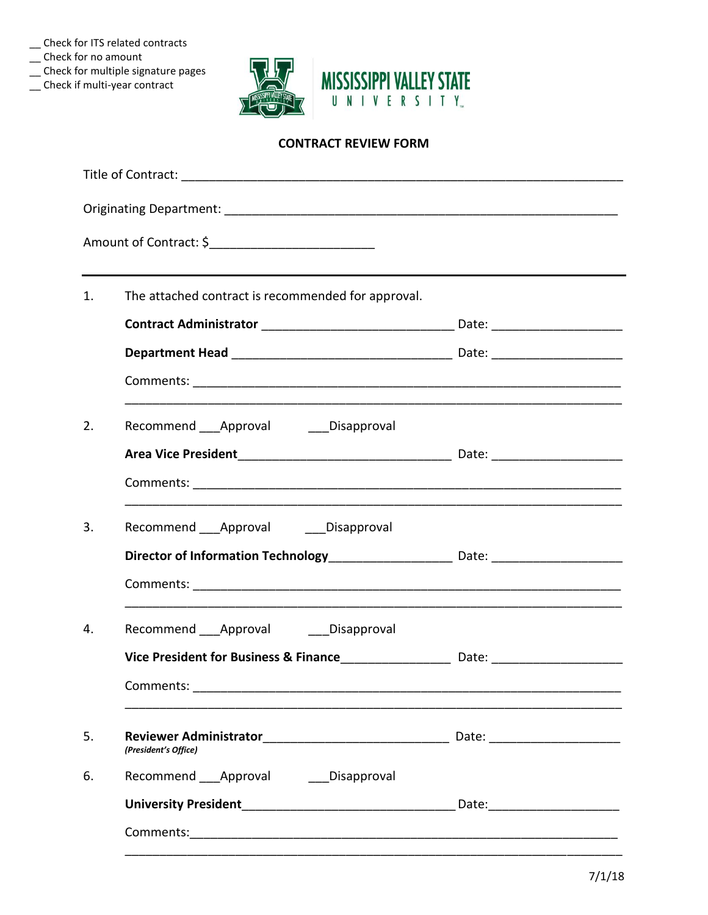\_\_ Check for ITS related contracts

- $\equiv$  Check for no amount
- \_\_ Check for multiple signature pages
- \_\_ Check if multi-year contract



# **CONTRACT REVIEW FORM**

| 1. | The attached contract is recommended for approval.                                |  |
|----|-----------------------------------------------------------------------------------|--|
|    |                                                                                   |  |
|    |                                                                                   |  |
|    |                                                                                   |  |
| 2. | Recommend ___ Approval ____ Disapproval                                           |  |
|    |                                                                                   |  |
|    |                                                                                   |  |
| 3. | Recommend ___ Approval _____ Disapproval                                          |  |
|    | Director of Information Technology_________________________ Date: _______________ |  |
|    |                                                                                   |  |
| 4. | Recommend ___ Approval _____ Disapproval                                          |  |
|    | Vice President for Business & Finance_____________________ Date: ________________ |  |
|    | Comments: _________                                                               |  |
|    |                                                                                   |  |
| 5. | (President's Office)                                                              |  |
| 6. | Recommend ___ Approval _____ Disapproval                                          |  |
|    |                                                                                   |  |
|    |                                                                                   |  |
|    |                                                                                   |  |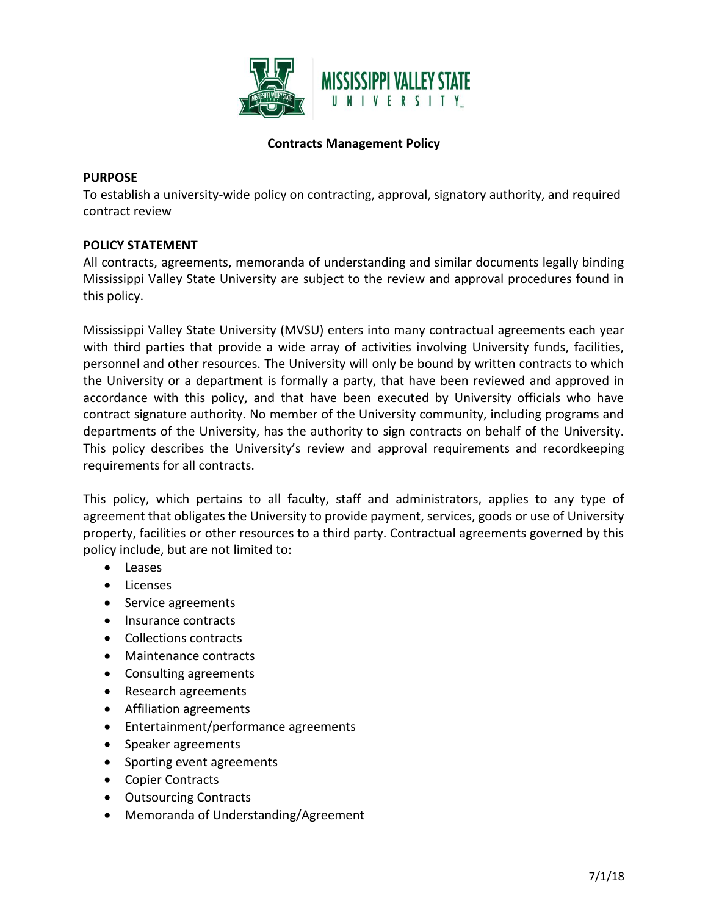

## **Contracts Management Policy**

#### **PURPOSE**

To establish a university-wide policy on contracting, approval, signatory authority, and required contract review

#### **POLICY STATEMENT**

All contracts, agreements, memoranda of understanding and similar documents legally binding Mississippi Valley State University are subject to the review and approval procedures found in this policy.

Mississippi Valley State University (MVSU) enters into many contractual agreements each year with third parties that provide a wide array of activities involving University funds, facilities, personnel and other resources. The University will only be bound by written contracts to which the University or a department is formally a party, that have been reviewed and approved in accordance with this policy, and that have been executed by University officials who have contract signature authority. No member of the University community, including programs and departments of the University, has the authority to sign contracts on behalf of the University. This policy describes the University's review and approval requirements and recordkeeping requirements for all contracts.

This policy, which pertains to all faculty, staff and administrators, applies to any type of agreement that obligates the University to provide payment, services, goods or use of University property, facilities or other resources to a third party. Contractual agreements governed by this policy include, but are not limited to:

- Leases
- Licenses
- Service agreements
- Insurance contracts
- Collections contracts
- Maintenance contracts
- Consulting agreements
- Research agreements
- Affiliation agreements
- Entertainment/performance agreements
- Speaker agreements
- Sporting event agreements
- Copier Contracts
- Outsourcing Contracts
- Memoranda of Understanding/Agreement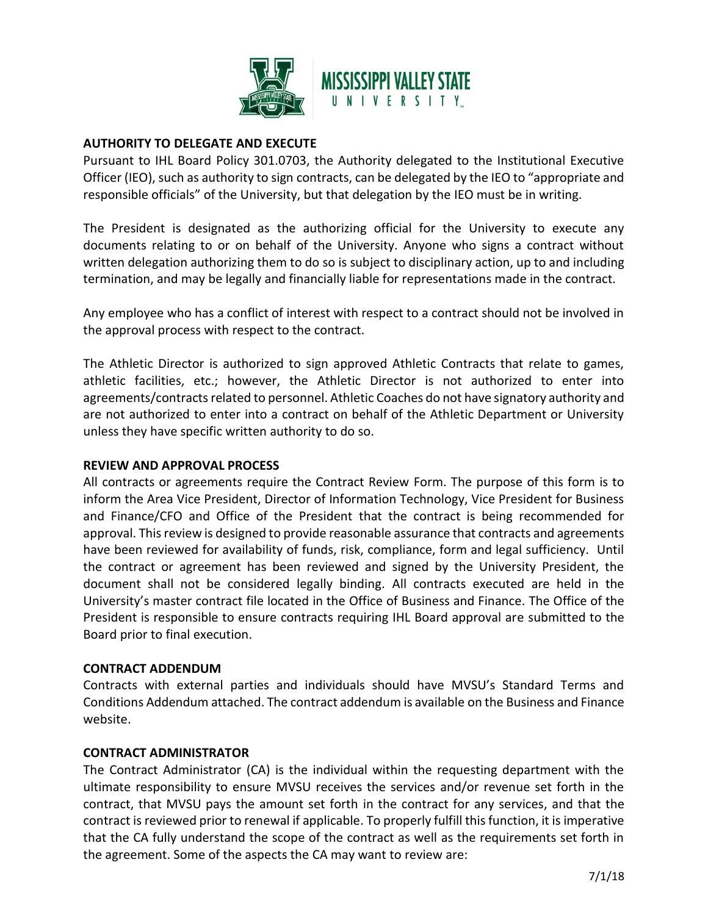

### **AUTHORITY TO DELEGATE AND EXECUTE**

Pursuant to IHL Board Policy 301.0703, the Authority delegated to the Institutional Executive Officer (IEO), such as authority to sign contracts, can be delegated by the IEO to "appropriate and responsible officials" of the University, but that delegation by the IEO must be in writing.

The President is designated as the authorizing official for the University to execute any documents relating to or on behalf of the University. Anyone who signs a contract without written delegation authorizing them to do so is subject to disciplinary action, up to and including termination, and may be legally and financially liable for representations made in the contract.

Any employee who has a conflict of interest with respect to a contract should not be involved in the approval process with respect to the contract.

The Athletic Director is authorized to sign approved Athletic Contracts that relate to games, athletic facilities, etc.; however, the Athletic Director is not authorized to enter into agreements/contracts related to personnel. Athletic Coaches do not have signatory authority and are not authorized to enter into a contract on behalf of the Athletic Department or University unless they have specific written authority to do so.

#### **REVIEW AND APPROVAL PROCESS**

All contracts or agreements require the Contract Review Form. The purpose of this form is to inform the Area Vice President, Director of Information Technology, Vice President for Business and Finance/CFO and Office of the President that the contract is being recommended for approval. This review is designed to provide reasonable assurance that contracts and agreements have been reviewed for availability of funds, risk, compliance, form and legal sufficiency. Until the contract or agreement has been reviewed and signed by the University President, the document shall not be considered legally binding. All contracts executed are held in the University's master contract file located in the Office of Business and Finance. The Office of the President is responsible to ensure contracts requiring IHL Board approval are submitted to the Board prior to final execution.

#### **CONTRACT ADDENDUM**

Contracts with external parties and individuals should have MVSU's Standard Terms and Conditions Addendum attached. The contract addendum is available on the Business and Finance website.

#### **CONTRACT ADMINISTRATOR**

The Contract Administrator (CA) is the individual within the requesting department with the ultimate responsibility to ensure MVSU receives the services and/or revenue set forth in the contract, that MVSU pays the amount set forth in the contract for any services, and that the contract is reviewed prior to renewal if applicable. To properly fulfill this function, it is imperative that the CA fully understand the scope of the contract as well as the requirements set forth in the agreement. Some of the aspects the CA may want to review are: